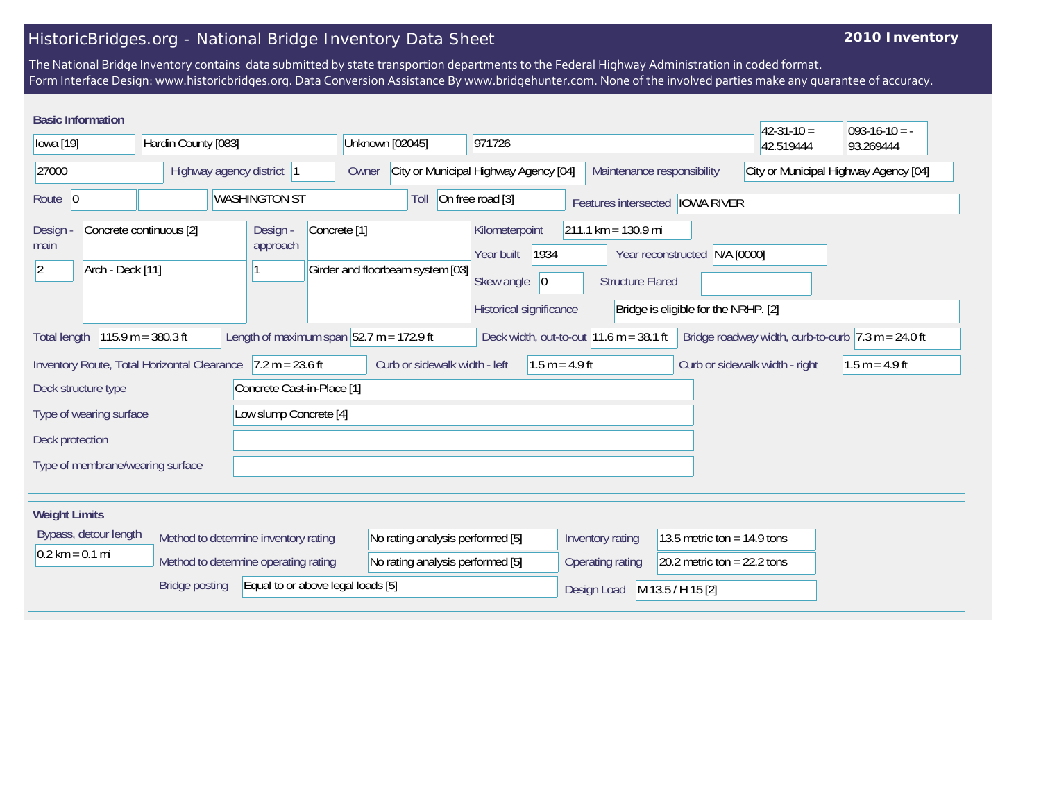## HistoricBridges.org - National Bridge Inventory Data Sheet

## **2010 Inventory**

The National Bridge Inventory contains data submitted by state transportion departments to the Federal Highway Administration in coded format. Form Interface Design: www.historicbridges.org. Data Conversion Assistance By www.bridgehunter.com. None of the involved parties make any guarantee of accuracy.

| <b>Basic Information</b><br>$42 - 31 - 10 =$<br>$093-16-10 = -$                                                                                                                                                                   |  |  |  |                                                                 |                                                  |                 |                                       |                                  |                                                                                                                                                                |                                                                     |                                |                               |           |  |
|-----------------------------------------------------------------------------------------------------------------------------------------------------------------------------------------------------------------------------------|--|--|--|-----------------------------------------------------------------|--------------------------------------------------|-----------------|---------------------------------------|----------------------------------|----------------------------------------------------------------------------------------------------------------------------------------------------------------|---------------------------------------------------------------------|--------------------------------|-------------------------------|-----------|--|
| lowa [19]<br>Hardin County [083]                                                                                                                                                                                                  |  |  |  |                                                                 |                                                  | Unknown [02045] |                                       | 971726                           |                                                                                                                                                                |                                                                     |                                | 42.519444                     | 93.269444 |  |
| 27000<br>Highway agency district 1                                                                                                                                                                                                |  |  |  |                                                                 |                                                  | Owner           | City or Municipal Highway Agency [04] |                                  |                                                                                                                                                                | Maintenance responsibility<br>City or Municipal Highway Agency [04] |                                |                               |           |  |
| Route 0<br><b>WASHINGTON ST</b>                                                                                                                                                                                                   |  |  |  |                                                                 | On free road [3]<br>Toll<br>Features intersected |                 |                                       |                                  |                                                                                                                                                                | <b>IOWA RIVER</b>                                                   |                                |                               |           |  |
| Concrete continuous [2]<br>Design<br>main<br>$ 2\rangle$<br>Arch - Deck [11]                                                                                                                                                      |  |  |  | Design -<br>Concrete <sup>[1]</sup><br>approach                 |                                                  |                 | Girder and floorbeam system [03]      |                                  | $211.1 \text{ km} = 130.9 \text{ mi}$<br>Kilometerpoint<br>1934<br>Year built<br>Year reconstructed N/A [0000]<br>Skew angle<br> 0 <br><b>Structure Flared</b> |                                                                     |                                |                               |           |  |
|                                                                                                                                                                                                                                   |  |  |  | Historical significance<br>Bridge is eligible for the NRHP. [2] |                                                  |                 |                                       |                                  |                                                                                                                                                                |                                                                     |                                |                               |           |  |
| $115.9 m = 380.3 ft$<br>Length of maximum span $ 52.7 \text{ m} = 172.9 \text{ ft} $<br>Deck width, out-to-out $11.6$ m = 38.1 ft<br>Bridge roadway width, curb-to-curb $ 7.3 \text{ m} = 24.0 \text{ ft}$<br><b>Total length</b> |  |  |  |                                                                 |                                                  |                 |                                       |                                  |                                                                                                                                                                |                                                                     |                                |                               |           |  |
| Inventory Route, Total Horizontal Clearance<br>$7.2 m = 23.6 ft$                                                                                                                                                                  |  |  |  | Curb or sidewalk width - left                                   |                                                  |                 | $1.5 m = 4.9 ft$                      |                                  |                                                                                                                                                                |                                                                     | Curb or sidewalk width - right | $1.5 m = 4.9 ft$              |           |  |
| Concrete Cast-in-Place [1]<br>Deck structure type                                                                                                                                                                                 |  |  |  |                                                                 |                                                  |                 |                                       |                                  |                                                                                                                                                                |                                                                     |                                |                               |           |  |
| Low slump Concrete [4]<br>Type of wearing surface                                                                                                                                                                                 |  |  |  |                                                                 |                                                  |                 |                                       |                                  |                                                                                                                                                                |                                                                     |                                |                               |           |  |
| Deck protection                                                                                                                                                                                                                   |  |  |  |                                                                 |                                                  |                 |                                       |                                  |                                                                                                                                                                |                                                                     |                                |                               |           |  |
| Type of membrane/wearing surface                                                                                                                                                                                                  |  |  |  |                                                                 |                                                  |                 |                                       |                                  |                                                                                                                                                                |                                                                     |                                |                               |           |  |
| <b>Weight Limits</b>                                                                                                                                                                                                              |  |  |  |                                                                 |                                                  |                 |                                       |                                  |                                                                                                                                                                |                                                                     |                                |                               |           |  |
| Bypass, detour length<br>$0.2 \text{ km} = 0.1 \text{ mi}$                                                                                                                                                                        |  |  |  | Method to determine inventory rating                            |                                                  |                 | No rating analysis performed [5]      |                                  |                                                                                                                                                                | Inventory rating                                                    |                                | 13.5 metric ton = $14.9$ tons |           |  |
|                                                                                                                                                                                                                                   |  |  |  | Method to determine operating rating                            |                                                  |                 | No rating analysis performed [5]      |                                  |                                                                                                                                                                | Operating rating                                                    |                                | 20.2 metric ton = $22.2$ tons |           |  |
| Equal to or above legal loads [5]<br><b>Bridge posting</b>                                                                                                                                                                        |  |  |  |                                                                 |                                                  |                 |                                       | Design Load<br>M 13.5 / H 15 [2] |                                                                                                                                                                |                                                                     |                                |                               |           |  |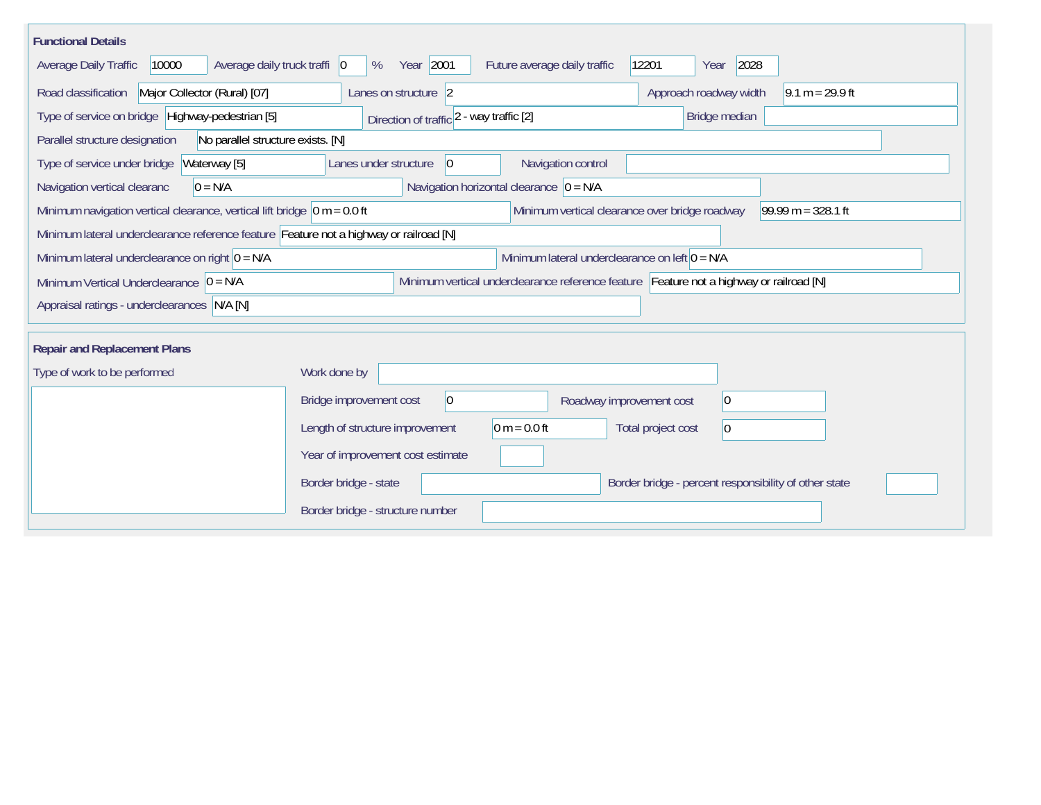| <b>Functional Details</b>                                                              |                                                            |                                                                                         |
|----------------------------------------------------------------------------------------|------------------------------------------------------------|-----------------------------------------------------------------------------------------|
| 10000<br>Average daily truck traffi 0<br>Average Daily Traffic                         | Year 2001<br>Future average daily traffic<br>%             | 2028<br>12201<br>Year                                                                   |
| Road classification<br>Major Collector (Rural) [07]                                    | Lanes on structure 2                                       | Approach roadway width<br>$9.1 m = 29.9 ft$                                             |
| Type of service on bridge Highway-pedestrian [5]                                       | Direction of traffic 2 - way traffic [2]                   | Bridge median                                                                           |
| No parallel structure exists. [N]<br>Parallel structure designation                    |                                                            |                                                                                         |
| Type of service under bridge<br>Waterway [5]                                           | Navigation control<br>Lanes under structure<br>$ 0\rangle$ |                                                                                         |
| Navigation vertical clearanc<br>$0 = N/A$                                              | Navigation horizontal clearance $ 0 = N/A$                 |                                                                                         |
| Minimum navigation vertical clearance, vertical lift bridge $\vert$ 0 m = 0.0 ft       |                                                            | Minimum vertical clearance over bridge roadway<br>$99.99 m = 328.1 ft$                  |
| Minimum lateral underclearance reference feature Feature not a highway or railroad [N] |                                                            |                                                                                         |
| Minimum lateral underclearance on right $0 = N/A$                                      |                                                            | Minimum lateral underclearance on left $0 = N/A$                                        |
| Minimum Vertical Underclearance $ 0 = N/A$                                             |                                                            | Minimum vertical underclearance reference feature Feature not a highway or railroad [N] |
| Appraisal ratings - underclearances N/A [N]                                            |                                                            |                                                                                         |
|                                                                                        |                                                            |                                                                                         |
| <b>Repair and Replacement Plans</b>                                                    |                                                            |                                                                                         |
| Type of work to be performed                                                           | Work done by                                               |                                                                                         |
|                                                                                        | Bridge improvement cost<br>$ 0\rangle$                     | $ 0\rangle$<br>Roadway improvement cost                                                 |
|                                                                                        | $0 m = 0.0 ft$<br>Length of structure improvement          | Total project cost<br>$ 0\rangle$                                                       |
|                                                                                        | Year of improvement cost estimate                          |                                                                                         |
|                                                                                        | Border bridge - state                                      | Border bridge - percent responsibility of other state                                   |
|                                                                                        | Border bridge - structure number                           |                                                                                         |